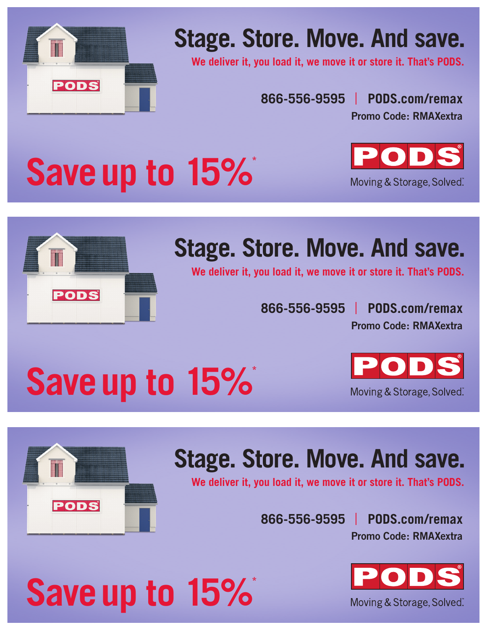

### **Stage. Store. Move. And save.**

**We deliver it, you load it, we move it or store it. That's PODS.**

**866-556-9595 PODS.com/remax**

**Promo Code: RMAXextra**

## **Save up to 15%**\*





## **Stage. Store. Move. And save.**

**We deliver it, you load it, we move it or store it. That's PODS.**

**Promo Code: RMAXextra 866-556-9595 PODS.com/remax**

# **Save up to 15%\***

**Save up to 15%**\*





## **Stage. Store. Move. And save.**

**We deliver it, you load it, we move it or store it. That's PODS.**

**Promo Code: RMAXextra 866-556-9595 PODS.com/remax**